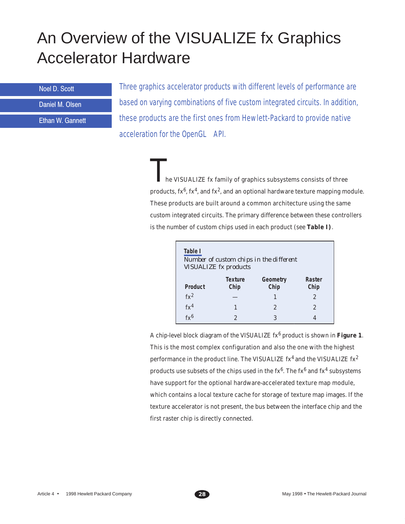# An Overview of the VISUALIZE fx Graphics Accelerator Hardware

**Noel D. Scott** 

Daniel M. Olsen

Ethan W. Gannett

Three graphics accelerator products with different levels of performance are based on varying combinations of five custom integrated circuits. In addition, these products are the first ones from Hewlett-Packard to provide native acceleration for the OpenGL® API.

> he VISUALIZE fx family of graphics subsystems consists of three products,  $f x^6$ ,  $f x^4$ , and  $f x^2$ , and an optional hardware texture mapping module. These products are built around a common architecture using the same custom integrated circuits. The primary difference between these controllers is the number of custom chips used in each product (see **Table I)**.

| Table I<br>Number of custom chips in the different<br><b>VISUALIZE</b> fx products |                        |                  |                |
|------------------------------------------------------------------------------------|------------------------|------------------|----------------|
| <b>Product</b>                                                                     | <b>Texture</b><br>Chip | Geometry<br>Chip | Raster<br>Chip |
| $fx^2$                                                                             |                        | 1                | 2              |
| fx <sup>4</sup>                                                                    |                        | $\overline{2}$   | 2              |
| fy6                                                                                | 2                      | 3                |                |

A chip-level block diagram of the VISUALIZE fx6 product is shown in **Figure 1**. This is the most complex configuration and also the one with the highest performance in the product line. The VISUALIZE  $fx^4$  and the VISUALIZE  $fx^2$ products use subsets of the chips used in the  $f(x^6)$ . The  $f(x^6)$  and  $f(x^4)$  subsystems have support for the optional hardware-accelerated texture map module, which contains a local texture cache for storage of texture map images. If the texture accelerator is not present, the bus between the interface chip and the first raster chip is directly connected.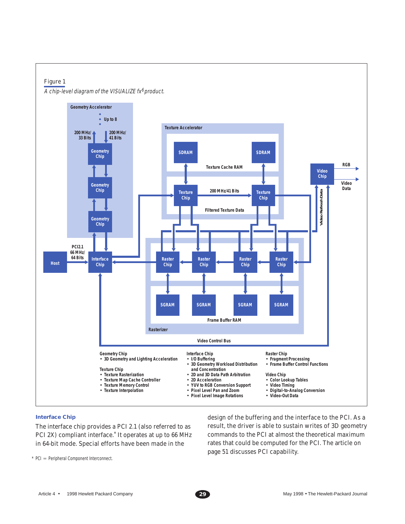

#### **Interface Chip**

The interface chip provides a PCI 2.1 (also referred to as PCI 2X) compliant interface.\* It operates at up to 66 MHz in 64-bit mode. Special efforts have been made in the

design of the buffering and the interface to the PCI. As a result, the driver is able to sustain writes of 3D geometry commands to the PCI at almost the theoretical maximum rates that could be computed for the PCI. The article on page 51 discusses PCI capability.

 $*$  PCI = Peripheral Component Interconnect.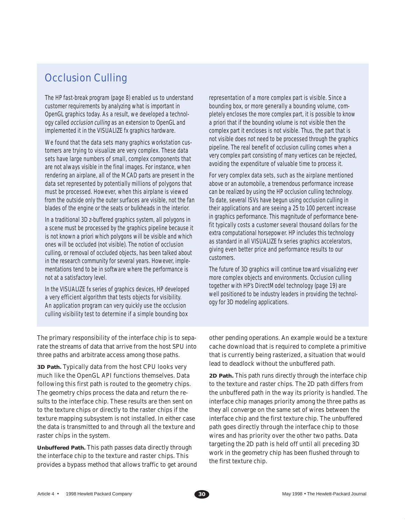# Occlusion Culling

The HP fast-break program (page 8) enabled us to understand customer requirements by analyzing what is important in OpenGL graphics today. As a result, we developed a technology called *occlusion culling* as an extension to OpenGL and implemented it in the VISUALIZE fx graphics hardware.

We found that the data sets many graphics workstation customers are trying to visualize are very complex. These data sets have large numbers of small, complex components that are not always visible in the final images. For instance, when rendering an airplane, all of the MCAD parts are present in the data set represented by potentially millions of polygons that must be processed. However, when this airplane is viewed from the outside only the outer surfaces are visible, not the fan blades of the engine or the seats or bulkheads in the interior.

In a traditional 3D z-buffered graphics system, all polygons in a scene must be processed by the graphics pipeline because it is not known a priori which polygons will be visible and which ones will be occluded (not visible). The notion of occlusion culling, or removal of occluded objects, has been talked about in the research community for several years. However, implementations tend to be in software where the performance is not at a satisfactory level.

In the VISUALIZE fx series of graphics devices, HP developed a very efficient algorithm that tests objects for visibility. An application program can very quickly use the occlusion culling visibility test to determine if a simple bounding box

representation of a more complex part is visible. Since a bounding box, or more generally a bounding volume, completely encloses the more complex part, it is possible to know a priori that if the bounding volume is not visible then the complex part it encloses is not visible. Thus, the part that is not visible does not need to be processed through the graphics pipeline. The real benefit of occlusion culling comes when a very complex part consisting of many vertices can be rejected, avoiding the expenditure of valuable time to process it.

For very complex data sets, such as the airplane mentioned above or an automobile, a tremendous performance increase can be realized by using the HP occlusion culling technology. To date, several ISVs have begun using occlusion culling in their applications and are seeing a 25 to 100 percent increase in graphics performance. This magnitude of performance benefit typically costs a customer several thousand dollars for the extra computational horsepower. HP includes this technology as standard in all VISUALIZE fx series graphics accelerators, giving even better price and performance results to our customers.

The future of 3D graphics will continue toward visualizing ever more complex objects and environments. Occlusion culling together with HP's DirectModel technology (page 19) are well positioned to be industry leaders in providing the technology for 3D modeling applications.

The primary responsibility of the interface chip is to separate the streams of data that arrive from the host SPU into three paths and arbitrate access among those paths.

**3D Path.** Typically data from the host CPU looks very much like the OpenGL API functions themselves. Data following this first path is routed to the geometry chips. The geometry chips process the data and return the results to the interface chip. These results are then sent on to the texture chips or directly to the raster chips if the texture mapping subsystem is not installed. In either case the data is transmitted to and through all the texture and raster chips in the system.

**Unbuffered Path.** This path passes data directly through the interface chip to the texture and raster chips. This provides a bypass method that allows traffic to get around other pending operations. An example would be a texture cache download that is required to complete a primitive that is currently being rasterized, a situation that would lead to deadlock without the unbuffered path.

**2D Path.** This path runs directly through the interface chip to the texture and raster chips. The 2D path differs from the unbuffered path in the way its priority is handled. The interface chip manages priority among the three paths as they all converge on the same set of wires between the interface chip and the first texture chip. The unbuffered path goes directly through the interface chip to those wires and has priority over the other two paths. Data targeting the 2D path is held off until all preceding 3D work in the geometry chip has been flushed through to the first texture chip.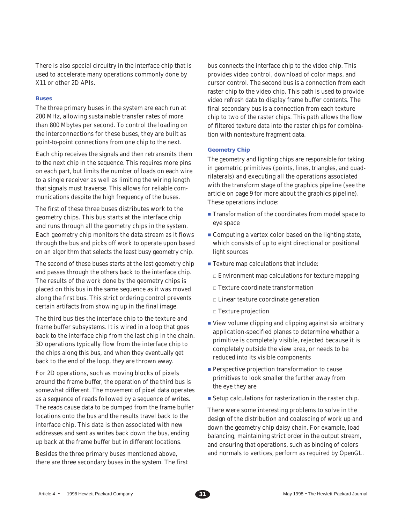There is also special circuitry in the interface chip that is used to accelerate many operations commonly done by X11 or other 2D APIs.

#### **Buses**

The three primary buses in the system are each run at 200 MHz, allowing sustainable transfer rates of more than 800 Mbytes per second. To control the loading on the interconnections for these buses, they are built as point-to-point connections from one chip to the next.

Each chip receives the signals and then retransmits them to the next chip in the sequence. This requires more pins on each part, but limits the number of loads on each wire to a single receiver as well as limiting the wiring length that signals must traverse. This allows for reliable communications despite the high frequency of the buses.

The first of these three buses distributes work to the geometry chips. This bus starts at the interface chip and runs through all the geometry chips in the system. Each geometry chip monitors the data stream as it flows through the bus and picks off work to operate upon based on an algorithm that selects the least busy geometry chip.

The second of these buses starts at the last geometry chip and passes through the others back to the interface chip. The results of the work done by the geometry chips is placed on this bus in the same sequence as it was moved along the first bus. This strict ordering control prevents certain artifacts from showing up in the final image.

The third bus ties the interface chip to the texture and frame buffer subsystems. It is wired in a loop that goes back to the interface chip from the last chip in the chain. 3D operations typically flow from the interface chip to the chips along this bus, and when they eventually get back to the end of the loop, they are thrown away.

For 2D operations, such as moving blocks of pixels around the frame buffer, the operation of the third bus is somewhat different. The movement of pixel data operates as a sequence of reads followed by a sequence of writes. The reads cause data to be dumped from the frame buffer locations onto the bus and the results travel back to the interface chip. This data is then associated with new addresses and sent as writes back down the bus, ending up back at the frame buffer but in different locations.

Besides the three primary buses mentioned above, there are three secondary buses in the system. The first

bus connects the interface chip to the video chip. This provides video control, download of color maps, and cursor control. The second bus is a connection from each raster chip to the video chip. This path is used to provide video refresh data to display frame buffer contents. The final secondary bus is a connection from each texture chip to two of the raster chips. This path allows the flow of filtered texture data into the raster chips for combination with nontexture fragment data.

#### **Geometry Chip**

The geometry and lighting chips are responsible for taking in geometric primitives (points, lines, triangles, and quadrilaterals) and executing all the operations associated with the transform stage of the graphics pipeline (see the article on page 9 for more about the graphics pipeline). These operations include:

- **Transformation of the coordinates from model space to** eye space
- **Computing a vertex color based on the lighting state,** which consists of up to eight directional or positional light sources
- Texture map calculations that include:
	- Environment map calculations for texture mapping
	- Texture coordinate transformation
	- Linear texture coordinate generation
	- Texture projection
- View volume clipping and clipping against six arbitrary application-specified planes to determine whether a primitive is completely visible, rejected because it is completely outside the view area, or needs to be reduced into its visible components
- **Perspective projection transformation to cause** primitives to look smaller the further away from the eye they are
- Setup calculations for rasterization in the raster chip.

There were some interesting problems to solve in the design of the distribution and coalescing of work up and down the geometry chip daisy chain. For example, load balancing, maintaining strict order in the output stream, and ensuring that operations, such as binding of colors and normals to vertices, perform as required by OpenGL.

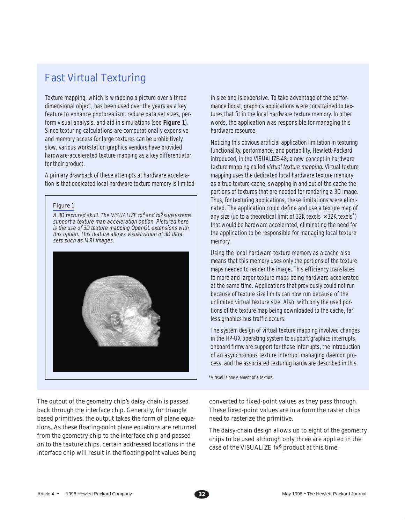# Fast Virtual Texturing

Texture mapping, which is wrapping a picture over a three dimensional object, has been used over the years as a key feature to enhance photorealism, reduce data set sizes, perform visual analysis, and aid in simulations (see **Figure 1**). Since texturing calculations are computationally expensive and memory access for large textures can be prohibitively slow, various workstation graphics vendors have provided hardware-accelerated texture mapping as a key differentiator for their product.

A primary drawback of these attempts at hardware acceleration is that dedicated local hardware texture memory is limited

## Figure 1

A 3D textured skull. The VISUALIZE  $f x^4$  and  $f x^6$  subsystems support a texture map acceleration option. Pictured here is the use of 3D texture mapping OpenGL extensions with this option. This feature allows visualization of 3D data sets such as MRI images.



The output of the geometry chip's daisy chain is passed back through the interface chip. Generally, for triangle based primitives, the output takes the form of plane equations. As these floating-point plane equations are returned from the geometry chip to the interface chip and passed on to the texture chips, certain addressed locations in the interface chip will result in the floating-point values being in size and is expensive. To take advantage of the performance boost, graphics applications were constrained to textures that fit in the local hardware texture memory. In other words, the application was responsible for managing this hardware resource.

Noticing this obvious artificial application limitation in texturing functionality, performance, and portability, Hewlett-Packard introduced, in the VISUALIZE-48, a new concept in hardware texture mapping called virtual texture mapping. Virtual texture mapping uses the dedicated local hardware texture memory as a true texture cache, swapping in and out of the cache the portions of textures that are needed for rendering a 3D image. Thus, for texturing applications, these limitations were eliminated. The application could define and use a texture map of any size (up to a theoretical limit of 32K texels  $\times$  32K texels<sup>\*</sup>) that would be hardware accelerated, eliminating the need for the application to be responsible for managing local texture memory.

Using the local hardware texture memory as a cache also means that this memory uses only the portions of the texture maps needed to render the image. This efficiency translates to more and larger texture maps being hardware accelerated at the same time. Applications that previously could not run because of texture size limits can now run because of the unlimited virtual texture size. Also, with only the used portions of the texture map being downloaded to the cache, far less graphics bus traffic occurs.

The system design of virtual texture mapping involved changes in the HP-UX operating system to support graphics interrupts, onboard firmware support for these interrupts, the introduction of an asynchronous texture interrupt managing daemon process, and the associated texturing hardware described in this

\*A texel is one element of a texture.

converted to fixed-point values as they pass through. These fixed-point values are in a form the raster chips need to rasterize the primitive.

The daisy-chain design allows up to eight of the geometry chips to be used although only three are applied in the case of the VISUALIZE  $fx^6$  product at this time.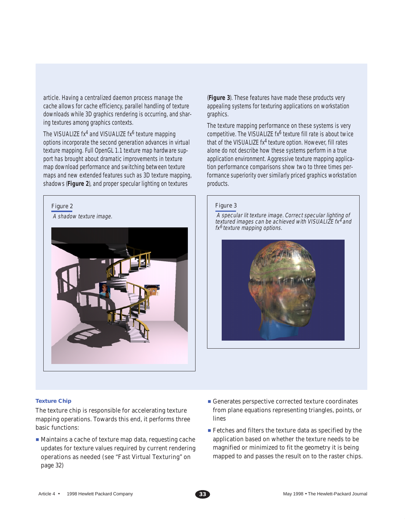article. Having a centralized daemon process manage the cache allows for cache efficiency, parallel handling of texture downloads while 3D graphics rendering is occurring, and sharing textures among graphics contexts.

The VISUALIZE  $f x^4$  and VISUALIZE  $f x^6$  texture mapping options incorporate the second generation advances in virtual texture mapping. Full OpenGL 1.1 texture map hardware support has brought about dramatic improvements in texture map download performance and switching between texture maps and new extended features such as 3D texture mapping, shadows (**Figure 2**), and proper specular lighting on textures

# Figure 2

A shadow texture image.



(**Figure 3**). These features have made these products very appealing systems for texturing applications on workstation graphics.

The texture mapping performance on these systems is very competitive. The VISUALIZE  $f x^6$  texture fill rate is about twice that of the VISUALIZE  $fx^4$  texture option. However, fill rates alone do not describe how these systems perform in a true application environment. Aggressive texture mapping application performance comparisons show two to three times performance superiority over similarly priced graphics workstation products.

## Figure 3

 A specular lit texture image. Correct specular lighting of textured images can be achieved with VISUALIZE fx<sup>4</sup> and fx<sup>6</sup> texture mapping options.



#### **Texture Chip**

The texture chip is responsible for accelerating texture mapping operations. Towards this end, it performs three basic functions:

- Maintains a cache of texture map data, requesting cache updates for texture values required by current rendering operations as needed (see "Fast Virtual Texturing" on page 32)
- Generates perspective corrected texture coordinates from plane equations representing triangles, points, or lines
- Fetches and filters the texture data as specified by the application based on whether the texture needs to be magnified or minimized to fit the geometry it is being mapped to and passes the result on to the raster chips.